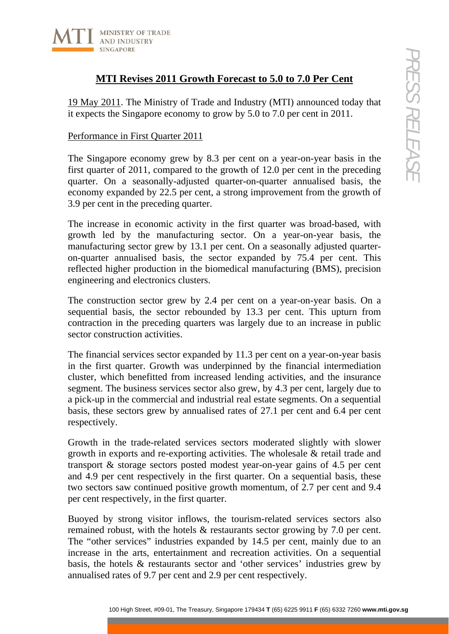

# **MTI Revises 2011 Growth Forecast to 5.0 to 7.0 Per Cent**

19 May 2011. The Ministry of Trade and Industry (MTI) announced today that it expects the Singapore economy to grow by 5.0 to 7.0 per cent in 2011.

### Performance in First Quarter 2011

The Singapore economy grew by 8.3 per cent on a year-on-year basis in the first quarter of 2011, compared to the growth of 12.0 per cent in the preceding quarter. On a seasonally-adjusted quarter-on-quarter annualised basis, the economy expanded by 22.5 per cent, a strong improvement from the growth of 3.9 per cent in the preceding quarter.

The increase in economic activity in the first quarter was broad-based, with growth led by the manufacturing sector. On a year-on-year basis, the manufacturing sector grew by 13.1 per cent. On a seasonally adjusted quarteron-quarter annualised basis, the sector expanded by 75.4 per cent. This reflected higher production in the biomedical manufacturing (BMS), precision engineering and electronics clusters.

The construction sector grew by 2.4 per cent on a year-on-year basis. On a sequential basis, the sector rebounded by 13.3 per cent. This upturn from contraction in the preceding quarters was largely due to an increase in public sector construction activities.

**171 Revises 2011 Growth Forecast to 5.0 to 7.0 Per Cent**<br>
1111. The Ministry of Trade and Industry (MTI) announced today that<br>
the Singapore conomy to grow by 5.0 to 7.0 per cent in 2011.<br>
The misins Counter 2011<br>
prove The financial services sector expanded by 11.3 per cent on a year-on-year basis in the first quarter. Growth was underpinned by the financial intermediation cluster, which benefitted from increased lending activities, and the insurance segment. The business services sector also grew, by 4.3 per cent, largely due to a pick-up in the commercial and industrial real estate segments. On a sequential basis, these sectors grew by annualised rates of 27.1 per cent and 6.4 per cent respectively.

Growth in the trade-related services sectors moderated slightly with slower growth in exports and re-exporting activities. The wholesale & retail trade and transport & storage sectors posted modest year-on-year gains of 4.5 per cent and 4.9 per cent respectively in the first quarter. On a sequential basis, these two sectors saw continued positive growth momentum, of 2.7 per cent and 9.4 per cent respectively, in the first quarter.

Buoyed by strong visitor inflows, the tourism-related services sectors also remained robust, with the hotels & restaurants sector growing by 7.0 per cent. The "other services" industries expanded by 14.5 per cent, mainly due to an increase in the arts, entertainment and recreation activities. On a sequential basis, the hotels & restaurants sector and 'other services' industries grew by annualised rates of 9.7 per cent and 2.9 per cent respectively.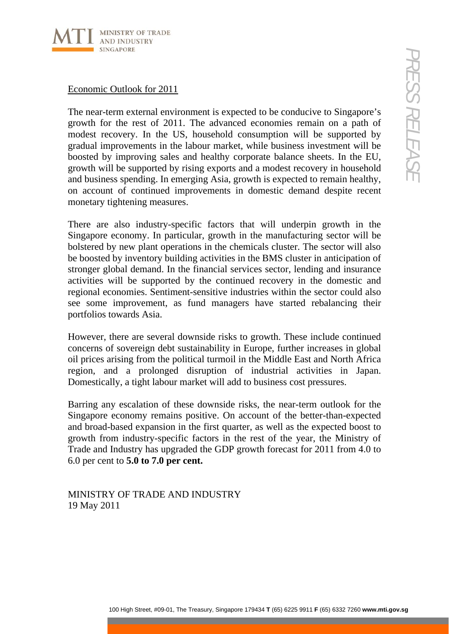

## Economic Outlook for 2011

The near-term external environment is expected to be conducive to Singapore's growth for the rest of 2011. The advanced economies remain on a path of modest recovery. In the US, household consumption will be supported by gradual improvements in the labour market, while business investment will be boosted by improving sales and healthy corporate balance sheets. In the EU, growth will be supported by rising exports and a modest recovery in household and business spending. In emerging Asia, growth is expected to remain healthy, on account of continued improvements in domestic demand despite recent monetary tightening measures.

**Outlook For 2011**<br> **Current estant 20111.** The advanced economistic streating on a path of<br>
the rest of 2011. The divider murket, while business investment will be supported by<br>
proprocements in the labour murket, while There are also industry-specific factors that will underpin growth in the Singapore economy. In particular, growth in the manufacturing sector will be bolstered by new plant operations in the chemicals cluster. The sector will also be boosted by inventory building activities in the BMS cluster in anticipation of stronger global demand. In the financial services sector, lending and insurance activities will be supported by the continued recovery in the domestic and regional economies. Sentiment-sensitive industries within the sector could also see some improvement, as fund managers have started rebalancing their portfolios towards Asia.

However, there are several downside risks to growth. These include continued concerns of sovereign debt sustainability in Europe, further increases in global oil prices arising from the political turmoil in the Middle East and North Africa region, and a prolonged disruption of industrial activities in Japan. Domestically, a tight labour market will add to business cost pressures.

Barring any escalation of these downside risks, the near-term outlook for the Singapore economy remains positive. On account of the better-than-expected and broad-based expansion in the first quarter, as well as the expected boost to growth from industry-specific factors in the rest of the year, the Ministry of Trade and Industry has upgraded the GDP growth forecast for 2011 from 4.0 to 6.0 per cent to **5.0 to 7.0 per cent.**

MINISTRY OF TRADE AND INDUSTRY 19 May 2011